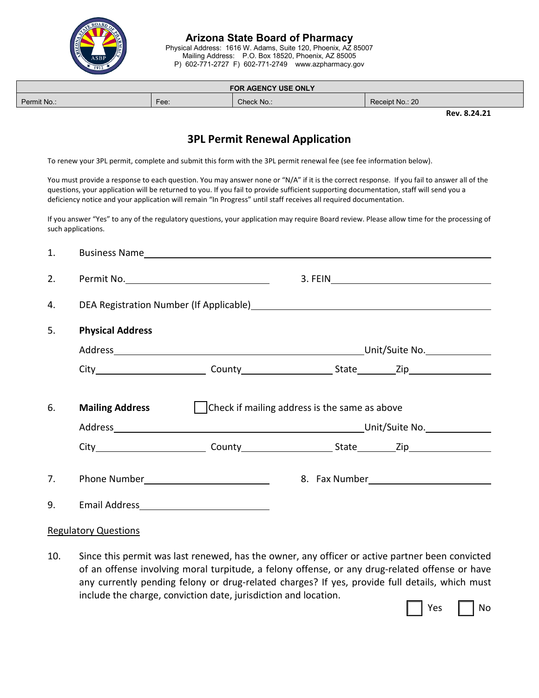

**Arizona State Board of Pharmacy** Physical Address: 1616 W. Adams, Suite 120, Phoenix, AZ 85007 Mailing Address: P.O. Box 18520, Phoenix, AZ 85005

P) 602-771-2727 F) 602-771-2749 www.azpharmacy.gov

| FOR AGENCY USE ONLY |      |            |                                         |  |
|---------------------|------|------------|-----------------------------------------|--|
| Permit No.:         | Fee: | Check No.: | Receipt No.: 20                         |  |
|                     |      |            | - - - - - -<br>$\overline{\phantom{a}}$ |  |

**Rev. 8.24.21**

## **3PL Permit Renewal Application**

To renew your 3PL permit, complete and submit this form with the 3PL permit renewal fee (see fee information below).

You must provide a response to each question. You may answer none or "N/A" if it is the correct response. If you fail to answer all of the questions, your application will be returned to you. If you fail to provide sufficient supporting documentation, staff will send you a deficiency notice and your application will remain "In Progress" until staff receives all required documentation.

If you answer "Yes" to any of the regulatory questions, your application may require Board review. Please allow time for the processing of such applications.

| 1. |                         |                                               |  |                                                                                                     |
|----|-------------------------|-----------------------------------------------|--|-----------------------------------------------------------------------------------------------------|
| 2. |                         |                                               |  |                                                                                                     |
| 4. |                         |                                               |  |                                                                                                     |
| 5. | <b>Physical Address</b> |                                               |  |                                                                                                     |
|    |                         |                                               |  |                                                                                                     |
|    |                         |                                               |  |                                                                                                     |
| 6. | <b>Mailing Address</b>  | Check if mailing address is the same as above |  |                                                                                                     |
|    |                         |                                               |  | City__________________________County_______________________State__________Zip______________________ |
| 7. |                         |                                               |  |                                                                                                     |
| 9. |                         |                                               |  |                                                                                                     |

## Regulatory Questions

10. Since this permit was last renewed, has the owner, any officer or active partner been convicted of an offense involving moral turpitude, a felony offense, or any drug-related offense or have any currently pending felony or drug-related charges? If yes, provide full details, which must include the charge, conviction date, jurisdiction and location.

|  | Yes |  | No. |
|--|-----|--|-----|
|--|-----|--|-----|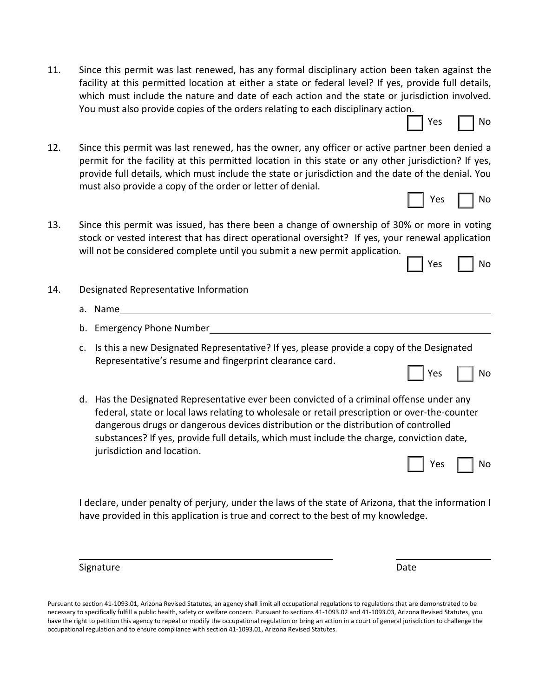11. Since this permit was last renewed, has any formal disciplinary action been taken against the facility at this permitted location at either a state or federal level? If yes, provide full details, which must include the nature and date of each action and the state or jurisdiction involved. You must also provide copies of the orders relating to each disciplinary action.

| 12. | Since this permit was last renewed, has the owner, any officer or active partner been denied a      |
|-----|-----------------------------------------------------------------------------------------------------|
|     | permit for the facility at this permitted location in this state or any other jurisdiction? If yes, |
|     | provide full details, which must include the state or jurisdiction and the date of the denial. You  |
|     | must also provide a copy of the order or letter of denial.                                          |

- 13. Since this permit was issued, has there been a change of ownership of 30% or more in voting stock or vested interest that has direct operational oversight? If yes, your renewal application will not be considered complete until you submit a new permit application.
- 14. Designated Representative Information
	- a. Name
	- b. Emergency Phone Number
	- c. Is this a new Designated Representative? If yes, please provide a copy of the Designated Representative's resume and fingerprint clearance card.
	- d. Has the Designated Representative ever been convicted of a criminal offense under any federal, state or local laws relating to wholesale or retail prescription or over-the-counter dangerous drugs or dangerous devices distribution or the distribution of controlled substances? If yes, provide full details, which must include the charge, conviction date, jurisdiction and location.

Yes I I No

Yes  $\Box$  No

Yes  $|$   $|$  No

Yes I I No

Yes | | No

I declare, under penalty of perjury, under the laws of the state of Arizona, that the information I have provided in this application is true and correct to the best of my knowledge.

Signature Date Date of the Date of the Date of the Date of the Date of the Date of the Date of the Date of the

Pursuant to section 41-1093.01, Arizona Revised Statutes, an agency shall limit all occupational regulations to regulations that are demonstrated to be necessary to specifically fulfill a public health, safety or welfare concern. Pursuant to sections 41-1093.02 and 41-1093.03, Arizona Revised Statutes, you have the right to petition this agency to repeal or modify the occupational regulation or bring an action in a court of general jurisdiction to challenge the occupational regulation and to ensure compliance with section 41-1093.01, Arizona Revised Statutes.